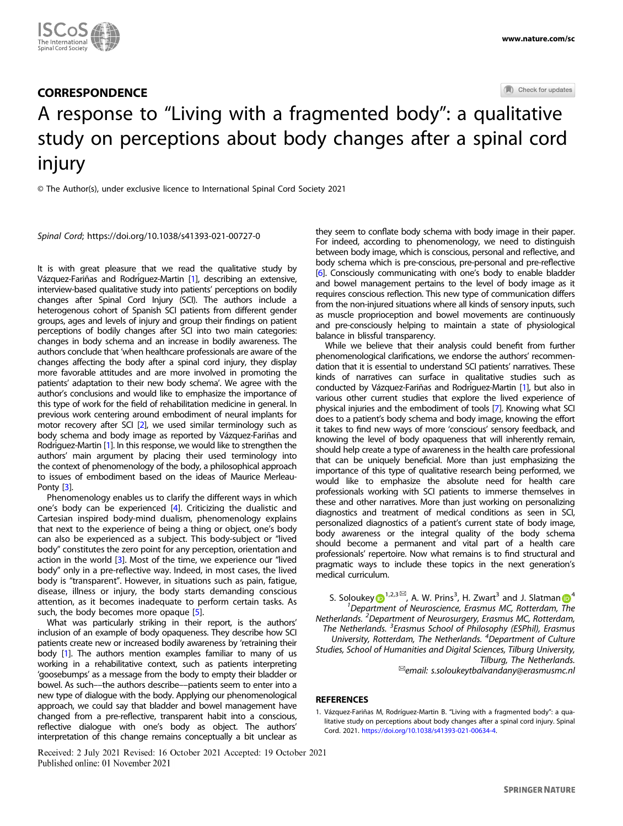

## **CORRESPONDENCE**

Check for updates

# A response to "Living with a fragmented body": a qu[a](http://crossmark.crossref.org/dialog/?doi=10.1038/s41393-021-00727-0&domain=pdf)litative study on perceptions about body changes after a spinal cord injury

© The Author(s), under exclusive licence to International Spinal Cord Society 2021

Spinal Cord;<https://doi.org/10.1038/s41393-021-00727-0>

It is with great pleasure that we read the qualitative study by Vázquez-Fariñas and Rodríguez-Martin [1], describing an extensive, interview-based qualitative study into patients' perceptions on bodily changes after Spinal Cord Injury (SCI). The authors include a heterogenous cohort of Spanish SCI patients from different gender groups, ages and levels of injury and group their findings on patient perceptions of bodily changes after SCI into two main categories: changes in body schema and an increase in bodily awareness. The authors conclude that 'when healthcare professionals are aware of the changes affecting the body after a spinal cord injury, they display more favorable attitudes and are more involved in promoting the patients' adaptation to their new body schema'. We agree with the author's conclusions and would like to emphasize the importance of this type of work for the field of rehabilitation medicine in general. In previous work centering around embodiment of neural implants for motor recovery after SCI [[2\]](#page-1-0), we used similar terminology such as body schema and body image as reported by Vázquez-Fariñas and Rodriguez-Martin [1]. In this response, we would like to strengthen the authors' main argument by placing their used terminology into the context of phenomenology of the body, a philosophical approach to issues of embodiment based on the ideas of Maurice Merleau-Ponty [[3](#page-1-0)].

Phenomenology enables us to clarify the different ways in which one's body can be experienced [[4](#page-1-0)]. Criticizing the dualistic and Cartesian inspired body-mind dualism, phenomenology explains that next to the experience of being a thing or object, one's body can also be experienced as a subject. This body-subject or "lived body" constitutes the zero point for any perception, orientation and action in the world [\[3\]](#page-1-0). Most of the time, we experience our "lived body" only in a pre-reflective way. Indeed, in most cases, the lived body is "transparent". However, in situations such as pain, fatigue, disease, illness or injury, the body starts demanding conscious attention, as it becomes inadequate to perform certain tasks. As such, the body becomes more opaque [\[5\]](#page-1-0).

What was particularly striking in their report, is the authors' inclusion of an example of body opaqueness. They describe how SCI patients create new or increased bodily awareness by 'retraining their body [1]. The authors mention examples familiar to many of us working in a rehabilitative context, such as patients interpreting 'goosebumps' as a message from the body to empty their bladder or bowel. As such––the authors describe––patients seem to enter into a new type of dialogue with the body. Applying our phenomenological approach, we could say that bladder and bowel management have changed from a pre-reflective, transparent habit into a conscious, reflective dialogue with one's body as object. The authors' interpretation of this change remains conceptually a bit unclear as

Received: 2 July 2021 Revised: 16 October 2021 Accepted: 19 October 2021 Published online: 01 November 2021

they seem to conflate body schema with body image in their paper. For indeed, according to phenomenology, we need to distinguish between body image, which is conscious, personal and reflective, and body schema which is pre-conscious, pre-personal and pre-reflective [\[6\]](#page-1-0). Consciously communicating with one's body to enable bladder and bowel management pertains to the level of body image as it requires conscious reflection. This new type of communication differs from the non-injured situations where all kinds of sensory inputs, such as muscle proprioception and bowel movements are continuously and pre-consciously helping to maintain a state of physiological balance in blissful transparency.

While we believe that their analysis could benefit from further phenomenological clarifications, we endorse the authors' recommendation that it is essential to understand SCI patients' narratives. These kinds of narratives can surface in qualitative studies such as conducted by Vázquez-Fariñas and Rodríguez-Martin [1], but also in various other current studies that explore the lived experience of physical injuries and the embodiment of tools [\[7](#page-1-0)]. Knowing what SCI does to a patient's body schema and body image, knowing the effort it takes to find new ways of more 'conscious' sensory feedback, and knowing the level of body opaqueness that will inherently remain, should help create a type of awareness in the health care professional that can be uniquely beneficial. More than just emphasizing the importance of this type of qualitative research being performed, we would like to emphasize the absolute need for health care professionals working with SCI patients to immerse themselves in these and other narratives. More than just working on personalizing diagnostics and treatment of medical conditions as seen in SCI, personalized diagnostics of a patient's current state of body image, body awareness or the integral quality of the body schema should become a permanent and vital part of a health care professionals' repertoire. Now what remains is to find structural and pragmatic ways to include these topics in the next generation's medical curriculum.

S. Solouke[y](http://orcid.org/0000-0001-7711-3271)  $\bigcirc^{1,2,3}_{\bullet}$  $\bigcirc^{1,2,3}_{\bullet}$  $\bigcirc^{1,2,3}_{\bullet}$ , A. W. Pri[n](http://orcid.org/0000-0002-1451-9378)s<sup>3</sup>, H. Zwart<sup>3</sup> and J. Slatman  $\bigcirc^{4}$  $\bigcirc^{4}$  $\bigcirc^{4}$ <sup>1</sup>Department of Neuroscience, Erasmus MC, Rotterdam, The Netherlands. <sup>2</sup>Department of Neurosurgery, Erasmus MC, Rotterdam, The Netherlands. <sup>3</sup> Erasmus School of Philosophy (ESPhil), Erasmus University, Rotterdam, The Netherlands. <sup>4</sup>Department of Culture Studies, School of Humanities and Digital Sciences, Tilburg University, Tilburg, The Netherlands. ✉email: [s.soloukeytbalvandany@erasmusmc.nl](mailto:s.soloukeytbalvandany@erasmusmc.nl)

#### **REFERENCES**

1. Vázquez-Fariñas M, Rodríguez-Martin B. "Living with a fragmented body": a qualitative study on perceptions about body changes after a spinal cord injury. Spinal Cord. 2021. <https://doi.org/10.1038/s41393-021-00634-4>.